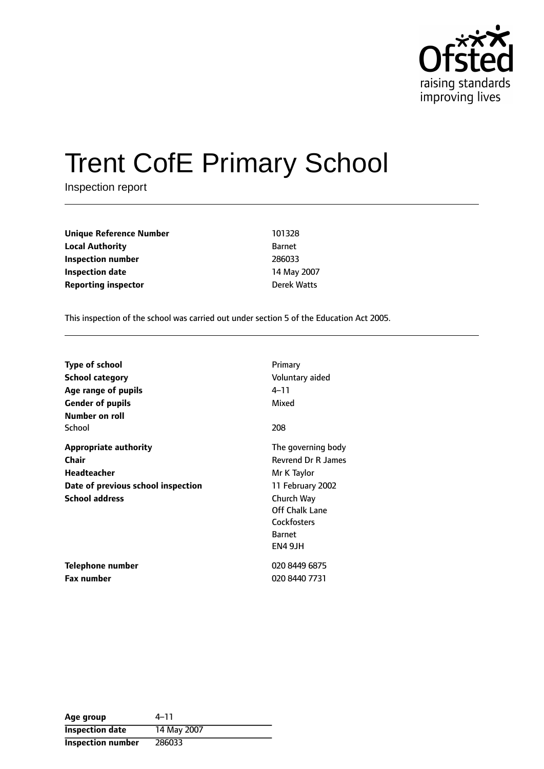

# Trent CofE Primary School

Inspection report

| 101328        |
|---------------|
| <b>Barnet</b> |
| 286033        |
| 14 May 2007   |
| Derek Watts   |
|               |

This inspection of the school was carried out under section 5 of the Education Act 2005.

| <b>Type of school</b>              | Primary                   |
|------------------------------------|---------------------------|
| School category                    | Voluntary aided           |
| Age range of pupils                | 4–11                      |
| <b>Gender of pupils</b>            | Mixed                     |
| Number on roll                     |                           |
| School                             | 208                       |
| <b>Appropriate authority</b>       | The governing body        |
| <b>Chair</b>                       | <b>Revrend Dr R James</b> |
| <b>Headteacher</b>                 | Mr K Taylor               |
| Date of previous school inspection | 11 February 2002          |
| <b>School address</b>              | Church Way                |
|                                    | Off Chalk Lane            |
|                                    | Cockfosters               |
|                                    | <b>Barnet</b>             |
|                                    | EN4 9JH                   |
| Telephone number                   | 020 8449 6875             |
| Fax number                         | 020 8440 7731             |

| Age group                | $4 - 11$    |
|--------------------------|-------------|
| <b>Inspection date</b>   | 14 May 2007 |
| <b>Inspection number</b> | 286033      |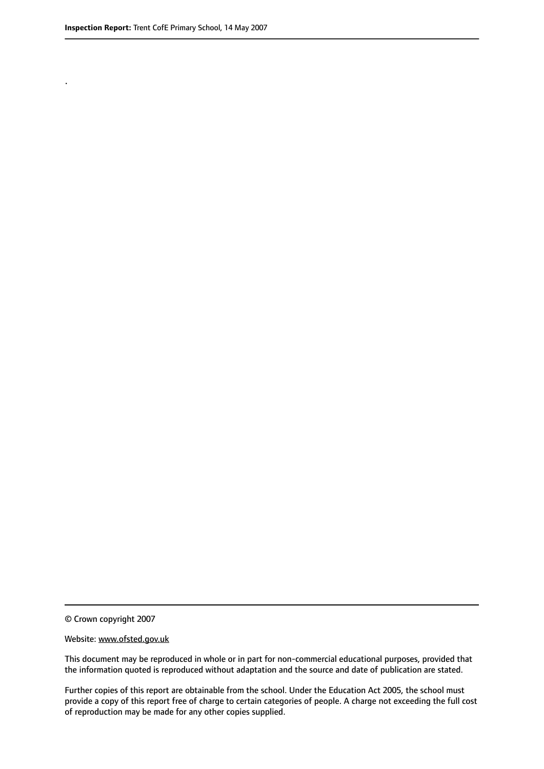.

© Crown copyright 2007

#### Website: www.ofsted.gov.uk

This document may be reproduced in whole or in part for non-commercial educational purposes, provided that the information quoted is reproduced without adaptation and the source and date of publication are stated.

Further copies of this report are obtainable from the school. Under the Education Act 2005, the school must provide a copy of this report free of charge to certain categories of people. A charge not exceeding the full cost of reproduction may be made for any other copies supplied.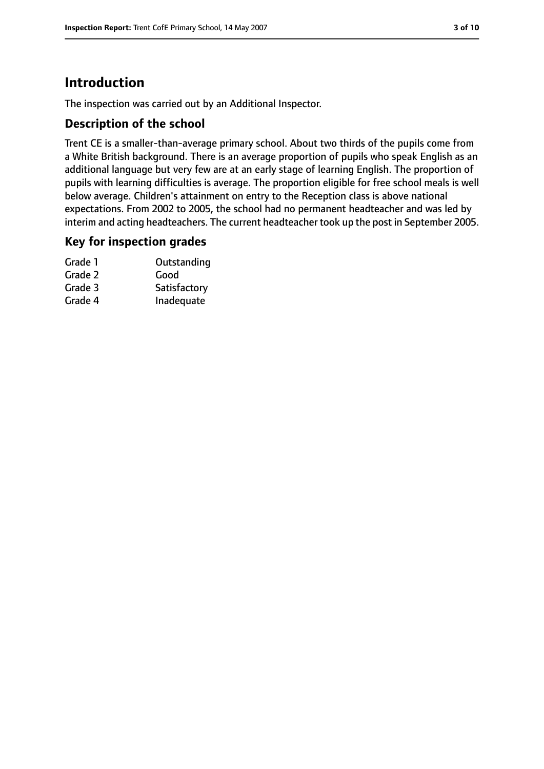## **Introduction**

The inspection was carried out by an Additional Inspector.

#### **Description of the school**

Trent CE is a smaller-than-average primary school. About two thirds of the pupils come from a White British background. There is an average proportion of pupils who speak English as an additional language but very few are at an early stage of learning English. The proportion of pupils with learning difficulties is average. The proportion eligible for free school meals is well below average. Children's attainment on entry to the Reception class is above national expectations. From 2002 to 2005, the school had no permanent headteacher and was led by interim and acting headteachers. The current headteacher took up the post in September 2005.

#### **Key for inspection grades**

| Grade 1 | Outstanding  |
|---------|--------------|
| Grade 2 | Good         |
| Grade 3 | Satisfactory |
| Grade 4 | Inadequate   |
|         |              |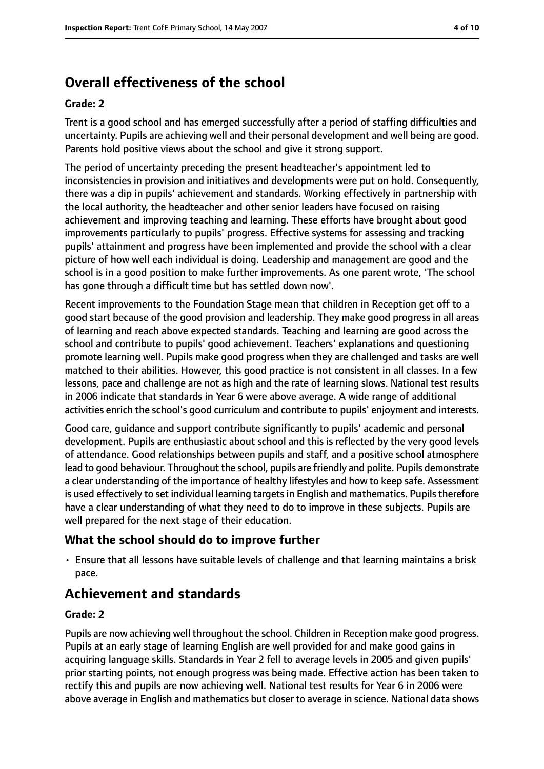# **Overall effectiveness of the school**

#### **Grade: 2**

Trent is a good school and has emerged successfully after a period of staffing difficulties and uncertainty. Pupils are achieving well and their personal development and well being are good. Parents hold positive views about the school and give it strong support.

The period of uncertainty preceding the present headteacher's appointment led to inconsistencies in provision and initiatives and developments were put on hold. Consequently, there was a dip in pupils' achievement and standards. Working effectively in partnership with the local authority, the headteacher and other senior leaders have focused on raising achievement and improving teaching and learning. These efforts have brought about good improvements particularly to pupils' progress. Effective systems for assessing and tracking pupils' attainment and progress have been implemented and provide the school with a clear picture of how well each individual is doing. Leadership and management are good and the school is in a good position to make further improvements. As one parent wrote, 'The school has gone through a difficult time but has settled down now'.

Recent improvements to the Foundation Stage mean that children in Reception get off to a good start because of the good provision and leadership. They make good progress in all areas of learning and reach above expected standards. Teaching and learning are good across the school and contribute to pupils' good achievement. Teachers' explanations and questioning promote learning well. Pupils make good progress when they are challenged and tasks are well matched to their abilities. However, this good practice is not consistent in all classes. In a few lessons, pace and challenge are not as high and the rate of learning slows. National test results in 2006 indicate that standards in Year 6 were above average. A wide range of additional activities enrich the school's good curriculum and contribute to pupils' enjoyment and interests.

Good care, guidance and support contribute significantly to pupils' academic and personal development. Pupils are enthusiastic about school and this is reflected by the very good levels of attendance. Good relationships between pupils and staff, and a positive school atmosphere lead to good behaviour. Throughout the school, pupils are friendly and polite. Pupils demonstrate a clear understanding of the importance of healthy lifestyles and how to keep safe. Assessment is used effectively to set individual learning targets in English and mathematics. Pupils therefore have a clear understanding of what they need to do to improve in these subjects. Pupils are well prepared for the next stage of their education.

#### **What the school should do to improve further**

• Ensure that all lessons have suitable levels of challenge and that learning maintains a brisk pace.

## **Achievement and standards**

#### **Grade: 2**

Pupils are now achieving well throughout the school. Children in Reception make good progress. Pupils at an early stage of learning English are well provided for and make good gains in acquiring language skills. Standards in Year 2 fell to average levels in 2005 and given pupils' prior starting points, not enough progress was being made. Effective action has been taken to rectify this and pupils are now achieving well. National test results for Year 6 in 2006 were above average in English and mathematics but closer to average in science. National data shows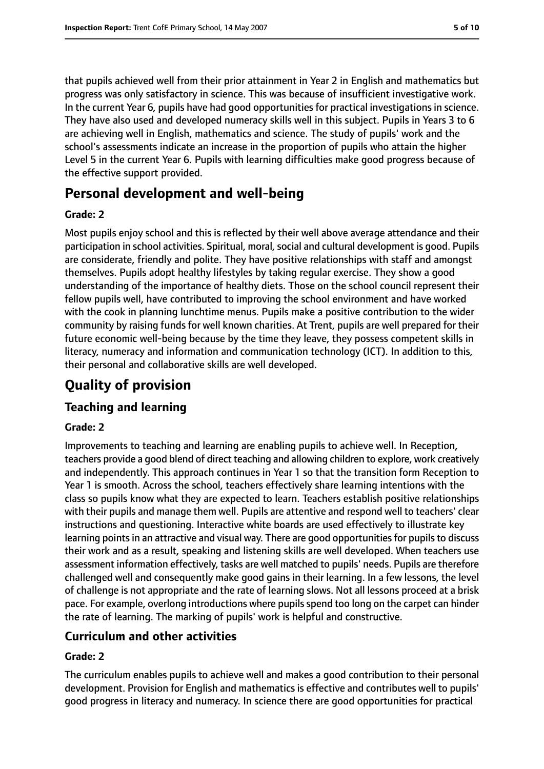that pupils achieved well from their prior attainment in Year 2 in English and mathematics but progress was only satisfactory in science. This was because of insufficient investigative work. In the current Year 6, pupils have had good opportunities for practical investigations in science. They have also used and developed numeracy skills well in this subject. Pupils in Years 3 to 6 are achieving well in English, mathematics and science. The study of pupils' work and the school's assessments indicate an increase in the proportion of pupils who attain the higher Level 5 in the current Year 6. Pupils with learning difficulties make good progress because of the effective support provided.

## **Personal development and well-being**

#### **Grade: 2**

Most pupils enjoy school and this is reflected by their well above average attendance and their participation in school activities. Spiritual, moral, social and cultural development is good. Pupils are considerate, friendly and polite. They have positive relationships with staff and amongst themselves. Pupils adopt healthy lifestyles by taking regular exercise. They show a good understanding of the importance of healthy diets. Those on the school council represent their fellow pupils well, have contributed to improving the school environment and have worked with the cook in planning lunchtime menus. Pupils make a positive contribution to the wider community by raising funds for well known charities. At Trent, pupils are well prepared for their future economic well-being because by the time they leave, they possess competent skills in literacy, numeracy and information and communication technology (ICT). In addition to this, their personal and collaborative skills are well developed.

# **Quality of provision**

#### **Teaching and learning**

#### **Grade: 2**

Improvements to teaching and learning are enabling pupils to achieve well. In Reception, teachers provide a good blend of direct teaching and allowing children to explore, work creatively and independently. This approach continues in Year 1 so that the transition form Reception to Year 1 is smooth. Across the school, teachers effectively share learning intentions with the class so pupils know what they are expected to learn. Teachers establish positive relationships with their pupils and manage them well. Pupils are attentive and respond well to teachers' clear instructions and questioning. Interactive white boards are used effectively to illustrate key learning points in an attractive and visual way. There are good opportunities for pupils to discuss their work and as a result, speaking and listening skills are well developed. When teachers use assessment information effectively, tasks are well matched to pupils' needs. Pupils are therefore challenged well and consequently make good gains in their learning. In a few lessons, the level of challenge is not appropriate and the rate of learning slows. Not all lessons proceed at a brisk pace. For example, overlong introductions where pupils spend too long on the carpet can hinder the rate of learning. The marking of pupils' work is helpful and constructive.

#### **Curriculum and other activities**

#### **Grade: 2**

The curriculum enables pupils to achieve well and makes a good contribution to their personal development. Provision for English and mathematics is effective and contributes well to pupils' good progress in literacy and numeracy. In science there are good opportunities for practical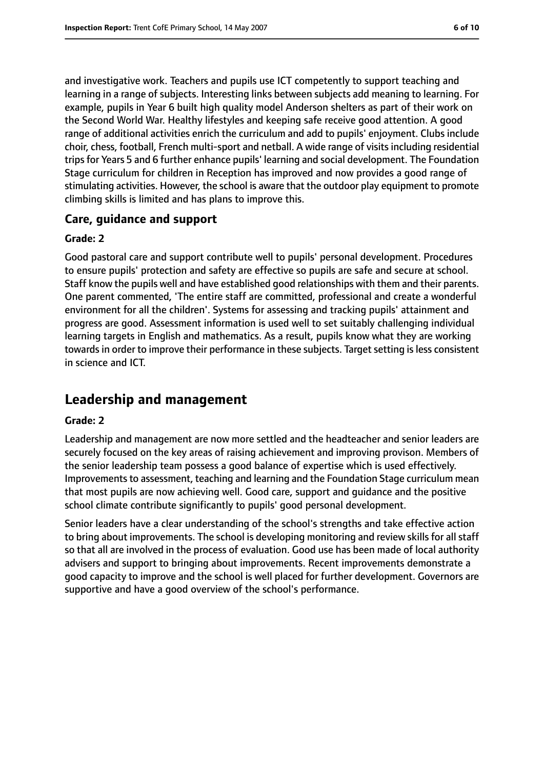and investigative work. Teachers and pupils use ICT competently to support teaching and learning in a range of subjects. Interesting links between subjects add meaning to learning. For example, pupils in Year 6 built high quality model Anderson shelters as part of their work on the Second World War. Healthy lifestyles and keeping safe receive good attention. A good range of additional activities enrich the curriculum and add to pupils' enjoyment. Clubs include choir, chess, football, French multi-sport and netball. A wide range of visits including residential trips for Years 5 and 6 further enhance pupils' learning and social development. The Foundation Stage curriculum for children in Reception has improved and now provides a good range of stimulating activities. However, the school is aware that the outdoor play equipment to promote climbing skills is limited and has plans to improve this.

#### **Care, guidance and support**

#### **Grade: 2**

Good pastoral care and support contribute well to pupils' personal development. Procedures to ensure pupils' protection and safety are effective so pupils are safe and secure at school. Staff know the pupils well and have established good relationships with them and their parents. One parent commented, 'The entire staff are committed, professional and create a wonderful environment for all the children'. Systems for assessing and tracking pupils' attainment and progress are good. Assessment information is used well to set suitably challenging individual learning targets in English and mathematics. As a result, pupils know what they are working towards in order to improve their performance in these subjects. Target setting is less consistent in science and ICT.

## **Leadership and management**

#### **Grade: 2**

Leadership and management are now more settled and the headteacher and senior leaders are securely focused on the key areas of raising achievement and improving provison. Members of the senior leadership team possess a good balance of expertise which is used effectively. Improvements to assessment, teaching and learning and the Foundation Stage curriculum mean that most pupils are now achieving well. Good care, support and guidance and the positive school climate contribute significantly to pupils' good personal development.

Senior leaders have a clear understanding of the school's strengths and take effective action to bring about improvements. The school is developing monitoring and review skills for all staff so that all are involved in the process of evaluation. Good use has been made of local authority advisers and support to bringing about improvements. Recent improvements demonstrate a good capacity to improve and the school is well placed for further development. Governors are supportive and have a good overview of the school's performance.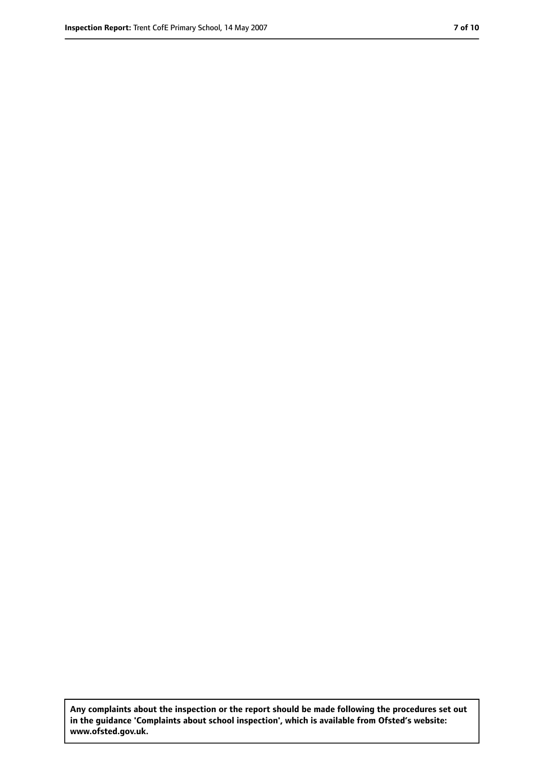**Any complaints about the inspection or the report should be made following the procedures set out in the guidance 'Complaints about school inspection', which is available from Ofsted's website: www.ofsted.gov.uk.**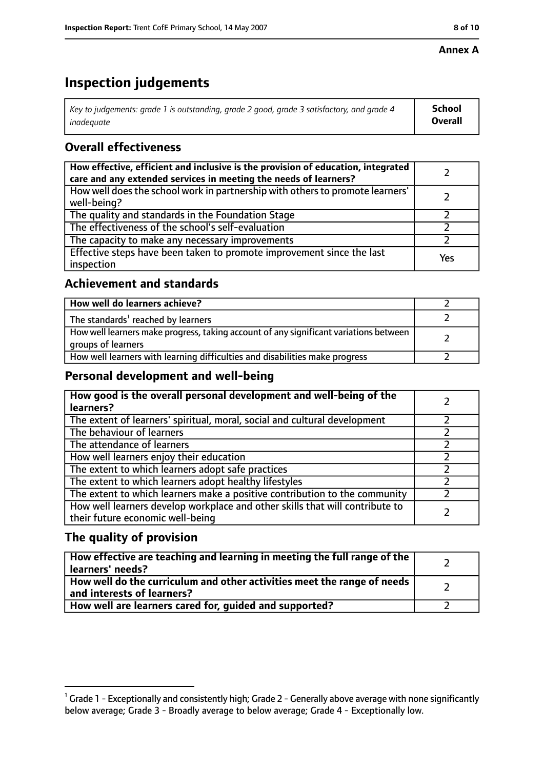#### **Annex A**

# **Inspection judgements**

| Key to judgements: grade 1 is outstanding, grade 2 good, grade 3 satisfactory, and grade 4 | <b>School</b>  |
|--------------------------------------------------------------------------------------------|----------------|
| inadeauate                                                                                 | <b>Overall</b> |

### **Overall effectiveness**

| How effective, efficient and inclusive is the provision of education, integrated<br>care and any extended services in meeting the needs of learners? |     |
|------------------------------------------------------------------------------------------------------------------------------------------------------|-----|
| How well does the school work in partnership with others to promote learners'<br>well-being?                                                         |     |
| The quality and standards in the Foundation Stage                                                                                                    |     |
| The effectiveness of the school's self-evaluation                                                                                                    |     |
| The capacity to make any necessary improvements                                                                                                      |     |
| Effective steps have been taken to promote improvement since the last<br>inspection                                                                  | Yes |

#### **Achievement and standards**

| How well do learners achieve?                                                                               |  |
|-------------------------------------------------------------------------------------------------------------|--|
| The standards <sup>1</sup> reached by learners                                                              |  |
| How well learners make progress, taking account of any significant variations between<br>groups of learners |  |
| How well learners with learning difficulties and disabilities make progress                                 |  |

#### **Personal development and well-being**

| How good is the overall personal development and well-being of the<br>learners?                                  |  |
|------------------------------------------------------------------------------------------------------------------|--|
| The extent of learners' spiritual, moral, social and cultural development                                        |  |
| The behaviour of learners                                                                                        |  |
| The attendance of learners                                                                                       |  |
| How well learners enjoy their education                                                                          |  |
| The extent to which learners adopt safe practices                                                                |  |
| The extent to which learners adopt healthy lifestyles                                                            |  |
| The extent to which learners make a positive contribution to the community                                       |  |
| How well learners develop workplace and other skills that will contribute to<br>their future economic well-being |  |

#### **The quality of provision**

| How effective are teaching and learning in meeting the full range of the<br>learners' needs?          |  |
|-------------------------------------------------------------------------------------------------------|--|
| How well do the curriculum and other activities meet the range of needs<br>and interests of learners? |  |
| How well are learners cared for, guided and supported?                                                |  |

 $^1$  Grade 1 - Exceptionally and consistently high; Grade 2 - Generally above average with none significantly below average; Grade 3 - Broadly average to below average; Grade 4 - Exceptionally low.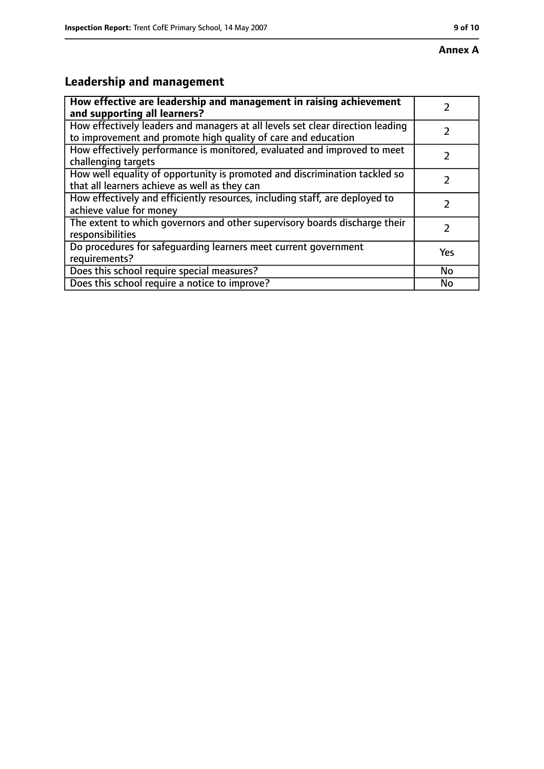# **Leadership and management**

| How effective are leadership and management in raising achievement<br>and supporting all learners?                                              |     |
|-------------------------------------------------------------------------------------------------------------------------------------------------|-----|
| How effectively leaders and managers at all levels set clear direction leading<br>to improvement and promote high quality of care and education |     |
| How effectively performance is monitored, evaluated and improved to meet<br>challenging targets                                                 |     |
| How well equality of opportunity is promoted and discrimination tackled so<br>that all learners achieve as well as they can                     |     |
| How effectively and efficiently resources, including staff, are deployed to<br>achieve value for money                                          | 7   |
| The extent to which governors and other supervisory boards discharge their<br>responsibilities                                                  |     |
| Do procedures for safequarding learners meet current government<br>requirements?                                                                | Yes |
| Does this school require special measures?                                                                                                      | No  |
| Does this school require a notice to improve?                                                                                                   | No  |